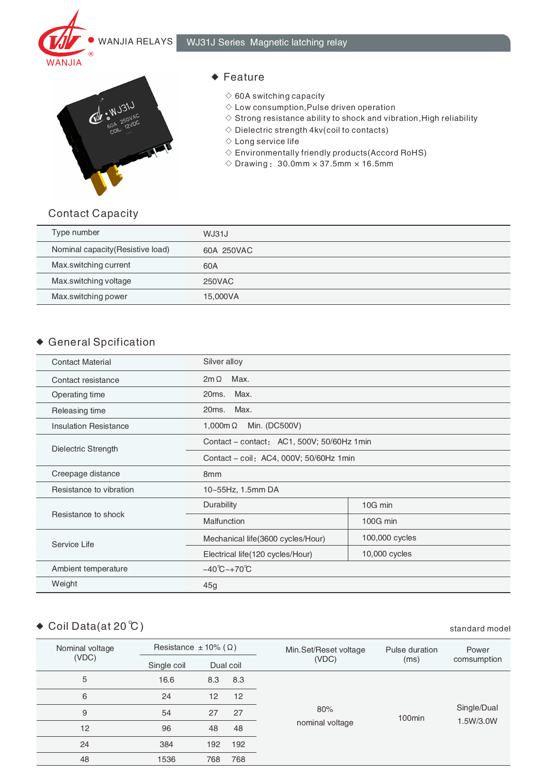



#### ◆ Feature

- $\diamond$  60A switching capacity
- $\diamond$  Low consumption, Pulse driven operation
- $\Diamond$  Strong resistance ability to shock and vibration, High reliability
- $\diamond$  Dielectric strength 4kv(coil to contacts)
- ◇ Long service life
- $\Diamond$  Environmentally friendly products (Accord RoHS)
- $\Diamond$  Drawing: 30.0mm  $\times$  37.5mm  $\times$  16.5mm

### Contact Capacity

| Type number                       | WJ31J      |
|-----------------------------------|------------|
| Nominal capacity (Resistive load) | 60A 250VAC |
| Max.switching current             | 60A        |
| Max.switching voltage             | 250VAC     |
| Max.switching power               | 15,000VA   |

## General Spcification

| <b>Contact Material</b>      | Silver alloy                               |                |  |
|------------------------------|--------------------------------------------|----------------|--|
| Contact resistance           | Max.<br>$2m\Omega$                         |                |  |
| Operating time               | Max.<br>20ms.                              |                |  |
| Releasing time               | Max.<br>20ms.                              |                |  |
| <b>Insulation Resistance</b> | Min. (DC500V)<br>1,000m $\Omega$           |                |  |
| Dielectric Strength          | Contact - contact: AC1, 500V; 50/60Hz 1min |                |  |
|                              | Contact - coil: AC4, 000V; 50/60Hz 1min    |                |  |
| Creepage distance            | 8 <sub>mm</sub>                            |                |  |
| Resistance to vibration      | 10~55Hz, 1.5mm DA                          |                |  |
|                              | Durability                                 | 10G min        |  |
| Resistance to shock          | Malfunction                                | 100G min       |  |
| Service Life                 | Mechanical life(3600 cycles/Hour)          | 100,000 cycles |  |
|                              | Electrical life(120 cycles/Hour)           | 10,000 cycles  |  |
| Ambient temperature          | $-40^{\circ}$ C ~ + 70 $^{\circ}$ C        |                |  |
| Weight                       | 45g                                        |                |  |

# ◆ Coil Data(at 20 ℃) standard model

| Nominal voltage<br>(VDC) | Resistance $\pm$ 10% ( $\Omega$ ) |     |     | Min.Set/Reset voltage | Pulse duration     | Power       |
|--------------------------|-----------------------------------|-----|-----|-----------------------|--------------------|-------------|
|                          | Single coil<br>Dual coil          |     |     | (VDC)                 | (ms)               | comsumption |
| 5                        | 16.6                              | 8.3 | 8.3 |                       |                    |             |
| 6                        | 24                                | 12  | 12  |                       |                    |             |
| 9                        | 54                                | 27  | 27  | 80%                   | 100 <sub>min</sub> | Single/Dual |
| 12                       | 96                                | 48  | 48  | nominal voltage       |                    | 1.5W/3.0W   |
| 24                       | 384                               | 192 | 192 |                       |                    |             |
| 48                       | 1536                              | 768 | 768 |                       |                    |             |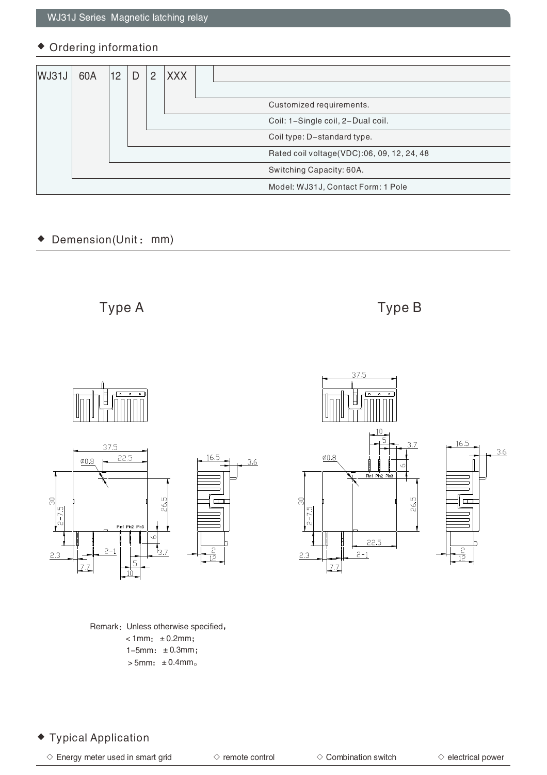#### Ordering information

| WJ31J | 60A | 12 | $\overline{2}$ | <b>XXX</b> |                                            |
|-------|-----|----|----------------|------------|--------------------------------------------|
|       |     |    |                |            | Customized requirements.                   |
|       |     |    |                |            | Coil: 1-Single coil, 2-Dual coil.          |
|       |     |    |                |            | Coil type: D-standard type.                |
|       |     |    |                |            | Rated coil voltage(VDC):06, 09, 12, 24, 48 |
|       |     |    |                |            | Switching Capacity: 60A.                   |
|       |     |    |                |            | Model: WJ31J, Contact Form: 1 Pole         |

#### Demension(Unit: mm)  $\blacklozenge$

Type A Type B



Remark: Unless otherwise specified,  $\times$ 1mm:  $\pm$ 0.2mm;  $1-5$ mm:  $\pm 0.3$ mm;  $>5$ mm:  $\pm 0.4$ mm.



## Typical Application

 $\Diamond$  Energy meter used in smart grid  $\Diamond$  combination switch  $\Diamond$  electrical power

 $3.6$